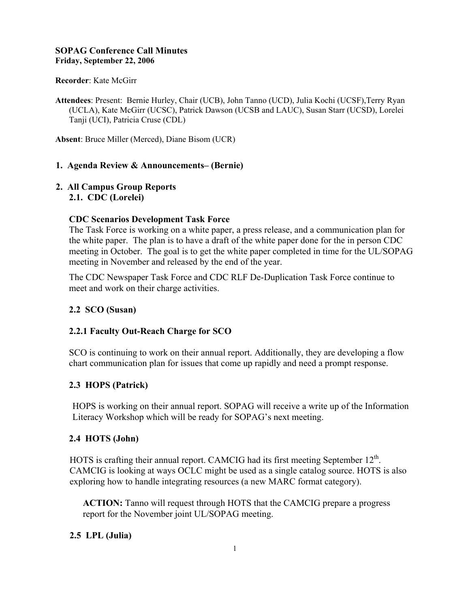# **SOPAG Conference Call Minutes Friday, September 22, 2006**

## **Recorder**: Kate McGirr

**Attendees**: Present: Bernie Hurley, Chair (UCB), John Tanno (UCD), Julia Kochi (UCSF),Terry Ryan (UCLA), Kate McGirr (UCSC), Patrick Dawson (UCSB and LAUC), Susan Starr (UCSD), Lorelei Tanji (UCI), Patricia Cruse (CDL)

**Absent**: Bruce Miller (Merced), Diane Bisom (UCR)

# **1. Agenda Review & Announcements– (Bernie)**

## **2. All Campus Group Reports 2.1. CDC (Lorelei)**

## **CDC Scenarios Development Task Force**

The Task Force is working on a white paper, a press release, and a communication plan for the white paper. The plan is to have a draft of the white paper done for the in person CDC meeting in October. The goal is to get the white paper completed in time for the UL/SOPAG meeting in November and released by the end of the year.

The CDC Newspaper Task Force and CDC RLF De-Duplication Task Force continue to meet and work on their charge activities.

# **2.2 SCO (Susan)**

# **2.2.1 Faculty Out-Reach Charge for SCO**

SCO is continuing to work on their annual report. Additionally, they are developing a flow chart communication plan for issues that come up rapidly and need a prompt response.

# **2.3 HOPS (Patrick)**

HOPS is working on their annual report. SOPAG will receive a write up of the Information Literacy Workshop which will be ready for SOPAG's next meeting.

# **2.4 HOTS (John)**

HOTS is crafting their annual report. CAMCIG had its first meeting September 12<sup>th</sup>. CAMCIG is looking at ways OCLC might be used as a single catalog source. HOTS is also exploring how to handle integrating resources (a new MARC format category).

**ACTION:** Tanno will request through HOTS that the CAMCIG prepare a progress report for the November joint UL/SOPAG meeting.

# **2.5 LPL (Julia)**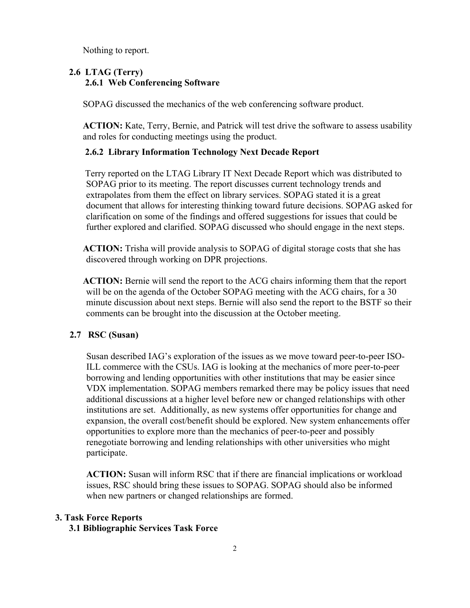Nothing to report.

# **2.6 LTAG (Terry) 2.6.1 Web Conferencing Software**

SOPAG discussed the mechanics of the web conferencing software product.

**ACTION:** Kate, Terry, Bernie, and Patrick will test drive the software to assess usability and roles for conducting meetings using the product.

## **2.6.2 Library Information Technology Next Decade Report**

 Terry reported on the LTAG Library IT Next Decade Report which was distributed to SOPAG prior to its meeting. The report discusses current technology trends and extrapolates from them the effect on library services. SOPAG stated it is a great document that allows for interesting thinking toward future decisions. SOPAG asked for clarification on some of the findings and offered suggestions for issues that could be further explored and clarified. SOPAG discussed who should engage in the next steps.

**ACTION:** Trisha will provide analysis to SOPAG of digital storage costs that she has discovered through working on DPR projections.

**ACTION:** Bernie will send the report to the ACG chairs informing them that the report will be on the agenda of the October SOPAG meeting with the ACG chairs, for a 30 minute discussion about next steps. Bernie will also send the report to the BSTF so their comments can be brought into the discussion at the October meeting.

### **2.7 RSC (Susan)**

Susan described IAG's exploration of the issues as we move toward peer-to-peer ISO-ILL commerce with the CSUs. IAG is looking at the mechanics of more peer-to-peer borrowing and lending opportunities with other institutions that may be easier since VDX implementation. SOPAG members remarked there may be policy issues that need additional discussions at a higher level before new or changed relationships with other institutions are set. Additionally, as new systems offer opportunities for change and expansion, the overall cost/benefit should be explored. New system enhancements offer opportunities to explore more than the mechanics of peer-to-peer and possibly renegotiate borrowing and lending relationships with other universities who might participate.

**ACTION:** Susan will inform RSC that if there are financial implications or workload issues, RSC should bring these issues to SOPAG. SOPAG should also be informed when new partners or changed relationships are formed.

# **3. Task Force Reports**

## **3.1 Bibliographic Services Task Force**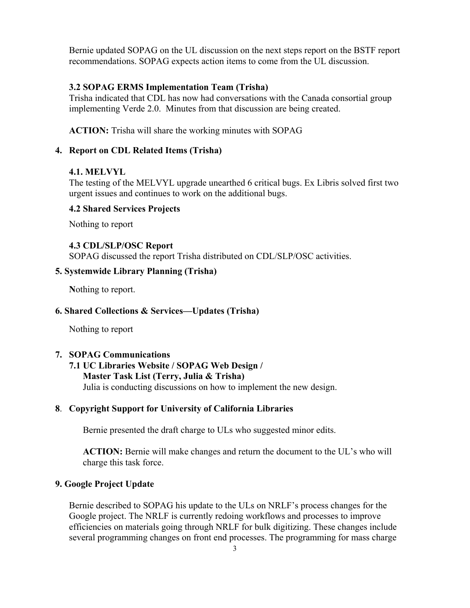Bernie updated SOPAG on the UL discussion on the next steps report on the BSTF report recommendations. SOPAG expects action items to come from the UL discussion.

### **3.2 SOPAG ERMS Implementation Team (Trisha)**

Trisha indicated that CDL has now had conversations with the Canada consortial group implementing Verde 2.0. Minutes from that discussion are being created.

**ACTION:** Trisha will share the working minutes with SOPAG

#### **4. Report on CDL Related Items (Trisha)**

#### **4.1. MELVYL**

The testing of the MELVYL upgrade unearthed 6 critical bugs. Ex Libris solved first two urgent issues and continues to work on the additional bugs.

#### **4.2 Shared Services Projects**

Nothing to report

### **4.3 CDL/SLP/OSC Report**

SOPAG discussed the report Trisha distributed on CDL/SLP/OSC activities.

# **5. Systemwide Library Planning (Trisha)**

**N**othing to report.

#### **6. Shared Collections & Services—Updates (Trisha)**

Nothing to report

# **7. SOPAG Communications**

# **7.1 UC Libraries Website / SOPAG Web Design / Master Task List (Terry, Julia & Trisha)** Julia is conducting discussions on how to implement the new design.

# **8**. **Copyright Support for University of California Libraries**

Bernie presented the draft charge to ULs who suggested minor edits.

**ACTION:** Bernie will make changes and return the document to the UL's who will charge this task force.

#### **9. Google Project Update**

Bernie described to SOPAG his update to the ULs on NRLF's process changes for the Google project. The NRLF is currently redoing workflows and processes to improve efficiencies on materials going through NRLF for bulk digitizing. These changes include several programming changes on front end processes. The programming for mass charge